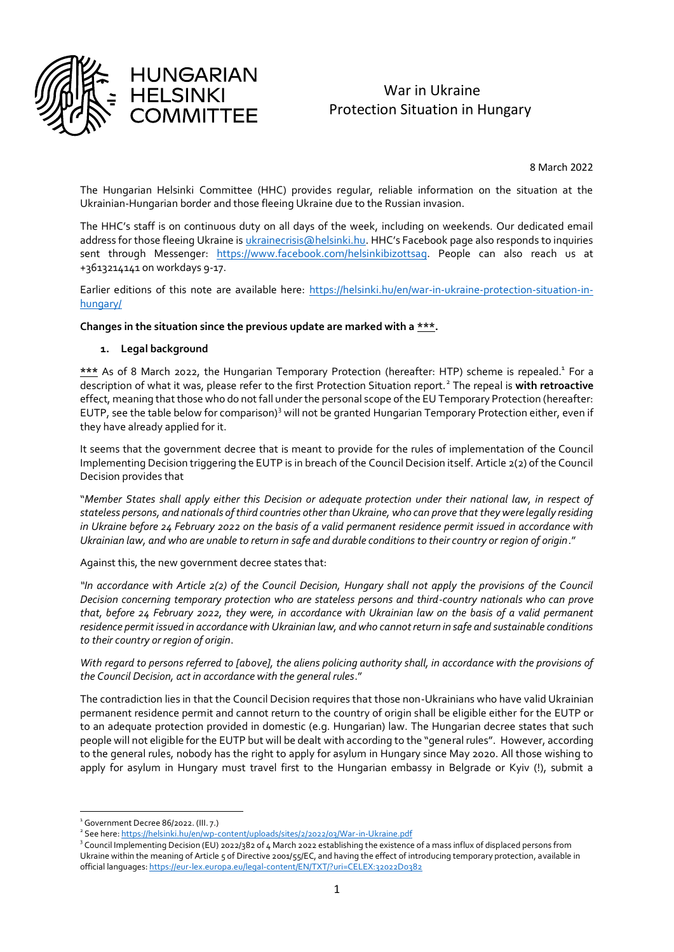

# War in Ukraine Protection Situation in Hungary

8 March 2022

The Hungarian Helsinki Committee (HHC) provides regular, reliable information on the situation at the Ukrainian-Hungarian border and those fleeing Ukraine due to the Russian invasion.

The HHC's staff is on continuous duty on all days of the week, including on weekends. Our dedicated email address for those fleeing Ukraine is *ukrainecrisis@helsinki.hu.* HHC's Facebook page also responds to inquiries sent through Messenger: [https://www.facebook.com/helsinkibizottsag.](https://www.facebook.com/helsinkibizottsag) People can also reach us at +3613214141 on workdays 9-17.

Earlier editions of this note are available here: [https://helsinki.hu/en/war-in-ukraine-protection-situation-in](https://helsinki.hu/en/war-in-ukraine-protection-situation-in-hungary/)[hungary/](https://helsinki.hu/en/war-in-ukraine-protection-situation-in-hungary/)

**Changes in the situation since the previous update are marked with a \*\*\*.**

#### **1. Legal background**

\*\*\* As of 8 March 2022, the Hungarian Temporary Protection (hereafter: HTP) scheme is repealed.<sup>1</sup> For a description of what it was, please refer to the first Protection Situation report.<sup>2</sup> The repeal is **with retroactive** effect, meaning that those who do not fall under the personal scope of the EU Temporary Protection (hereafter: EUTP, see the table below for comparison)<sup>3</sup> will not be granted Hungarian Temporary Protection either, even if they have already applied for it.

It seems that the government decree that is meant to provide for the rules of implementation of the Council Implementing Decision triggering the EUTP is in breach of the Council Decision itself. Article 2(2) of the Council Decision provides that

"*Member States shall apply either this Decision or adequate protection under their national law, in respect of stateless persons, and nationals of third countries other than Ukraine, who can prove that they were legally residing in Ukraine before 24 February 2022 on the basis of a valid permanent residence permit issued in accordance with Ukrainian law, and who are unable to return in safe and durable conditions to their country or region of origin*."

Against this, the new government decree states that:

*"In accordance with Article 2(2) of the Council Decision, Hungary shall not apply the provisions of the Council Decision concerning temporary protection who are stateless persons and third-country nationals who can prove that, before 24 February 2022, they were, in accordance with Ukrainian law on the basis of a valid permanent residence permit issued in accordance with Ukrainian law, and who cannot return in safe and sustainable conditions to their country or region of origin*.

With regard to persons referred to *[above], the aliens policing authority shall, in accordance with the provisions of the Council Decision, act in accordance with the general rules*."

The contradiction lies in that the Council Decision requires that those non-Ukrainians who have valid Ukrainian permanent residence permit and cannot return to the country of origin shall be eligible either for the EUTP or to an adequate protection provided in domestic (e.g. Hungarian) law. The Hungarian decree states that such people will not eligible for the EUTP but will be dealt with according to the "general rules". However, according to the general rules, nobody has the right to apply for asylum in Hungary since May 2020. All those wishing to apply for asylum in Hungary must travel first to the Hungarian embassy in Belgrade or Kyiv (!), submit a

 $1$  Government Decree 86/2022. (III. 7.)

<sup>&</sup>lt;sup>2</sup> See here[: https://helsinki.hu/en/wp-content/uploads/sites/2/2022/03/War-in-Ukraine.pdf](https://helsinki.hu/en/wp-content/uploads/sites/2/2022/03/War-in-Ukraine.pdf)

<sup>&</sup>lt;sup>3</sup> Council Implementing Decision (EU) 2022/382 of 4 March 2022 establishing the existence of a mass influx of displaced persons from Ukraine within the meaning of Article 5 of Directive 2001/55/EC, and having the effect of introducing temporary protection, available in official languages[: https://eur-lex.europa.eu/legal-content/EN/TXT/?uri=CELEX:32022D0382](https://eur-lex.europa.eu/legal-content/EN/TXT/?uri=CELEX:32022D0382)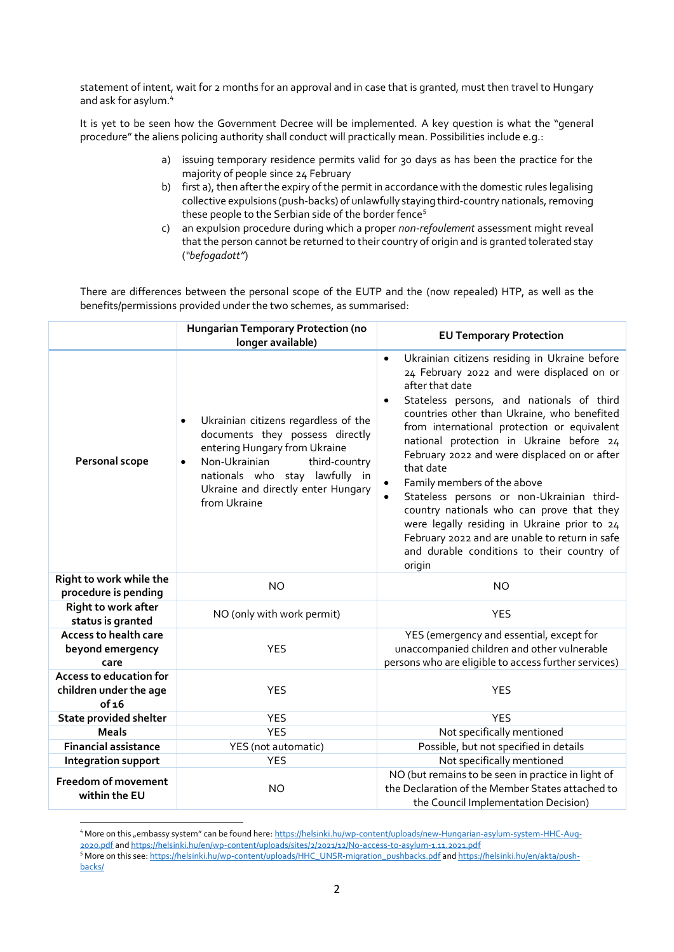statement of intent, wait for 2 months for an approval and in case that is granted, must then travel to Hungary and ask for asylum.<sup>4</sup>

It is yet to be seen how the Government Decree will be implemented. A key question is what the "general procedure" the aliens policing authority shall conduct will practically mean. Possibilities include e.g.:

- a) issuing temporary residence permits valid for 30 days as has been the practice for the majority of people since 24 February
- b) first a), then after the expiry of the permit in accordance with the domestic rules legalising collective expulsions (push-backs) of unlawfully staying third-country nationals, removing these people to the Serbian side of the border fence<sup>5</sup>
- c) an expulsion procedure during which a proper *non-refoulement* assessment might reveal that the person cannot be returned to their country of origin and is granted tolerated stay (*"befogadott"*)

There are differences between the personal scope of the EUTP and the (now repealed) HTP, as well as the benefits/permissions provided under the two schemes, as summarised:

|                                                                   | Hungarian Temporary Protection (no<br>longer available)                                                                                                                                                                                                      | <b>EU Temporary Protection</b>                                                                                                                                                                                                                                                                                                                                                                                                                                                                                                                                                                                                                                    |  |  |
|-------------------------------------------------------------------|--------------------------------------------------------------------------------------------------------------------------------------------------------------------------------------------------------------------------------------------------------------|-------------------------------------------------------------------------------------------------------------------------------------------------------------------------------------------------------------------------------------------------------------------------------------------------------------------------------------------------------------------------------------------------------------------------------------------------------------------------------------------------------------------------------------------------------------------------------------------------------------------------------------------------------------------|--|--|
| Personal scope                                                    | Ukrainian citizens regardless of the<br>$\bullet$<br>documents they possess directly<br>entering Hungary from Ukraine<br>Non-Ukrainian<br>third-country<br>$\bullet$<br>nationals who stay lawfully in<br>Ukraine and directly enter Hungary<br>from Ukraine | Ukrainian citizens residing in Ukraine before<br>24 February 2022 and were displaced on or<br>after that date<br>Stateless persons, and nationals of third<br>$\bullet$<br>countries other than Ukraine, who benefited<br>from international protection or equivalent<br>national protection in Ukraine before 24<br>February 2022 and were displaced on or after<br>that date<br>Family members of the above<br>Stateless persons or non-Ukrainian third-<br>country nationals who can prove that they<br>were legally residing in Ukraine prior to 24<br>February 2022 and are unable to return in safe<br>and durable conditions to their country of<br>origin |  |  |
| Right to work while the<br>procedure is pending                   | <b>NO</b>                                                                                                                                                                                                                                                    | <b>NO</b>                                                                                                                                                                                                                                                                                                                                                                                                                                                                                                                                                                                                                                                         |  |  |
| <b>Right to work after</b><br>status is granted                   | NO (only with work permit)                                                                                                                                                                                                                                   | <b>YES</b>                                                                                                                                                                                                                                                                                                                                                                                                                                                                                                                                                                                                                                                        |  |  |
| Access to health care<br>beyond emergency<br>care                 | <b>YES</b>                                                                                                                                                                                                                                                   | YES (emergency and essential, except for<br>unaccompanied children and other vulnerable<br>persons who are eligible to access further services)                                                                                                                                                                                                                                                                                                                                                                                                                                                                                                                   |  |  |
| <b>Access to education for</b><br>children under the age<br>of 16 | <b>YES</b>                                                                                                                                                                                                                                                   | <b>YES</b>                                                                                                                                                                                                                                                                                                                                                                                                                                                                                                                                                                                                                                                        |  |  |
| <b>State provided shelter</b>                                     | <b>YES</b>                                                                                                                                                                                                                                                   | <b>YES</b>                                                                                                                                                                                                                                                                                                                                                                                                                                                                                                                                                                                                                                                        |  |  |
| <b>Meals</b>                                                      | <b>YES</b>                                                                                                                                                                                                                                                   | Not specifically mentioned                                                                                                                                                                                                                                                                                                                                                                                                                                                                                                                                                                                                                                        |  |  |
| <b>Financial assistance</b>                                       | YES (not automatic)                                                                                                                                                                                                                                          | Possible, but not specified in details                                                                                                                                                                                                                                                                                                                                                                                                                                                                                                                                                                                                                            |  |  |
| Integration support                                               | <b>YES</b>                                                                                                                                                                                                                                                   | Not specifically mentioned                                                                                                                                                                                                                                                                                                                                                                                                                                                                                                                                                                                                                                        |  |  |
| <b>Freedom of movement</b><br>within the EU                       | <b>NO</b>                                                                                                                                                                                                                                                    | NO (but remains to be seen in practice in light of<br>the Declaration of the Member States attached to<br>the Council Implementation Decision)                                                                                                                                                                                                                                                                                                                                                                                                                                                                                                                    |  |  |

<sup>&</sup>lt;sup>4</sup> More on this "embassy system" can be found here: [https://helsinki.hu/wp-content/uploads/new-Hungarian-asylum-system-HHC-Aug-](https://helsinki.hu/wp-content/uploads/new-Hungarian-asylum-system-HHC-Aug-2020.pdf)<u>[2020.pdf](https://helsinki.hu/wp-content/uploads/new-Hungarian-asylum-system-HHC-Aug-2020.pdf)</u> and <u>https://helsinki.hu/en/wp-content/uploads/sites/2/2021/12/No-access-to-asylum-1.11.2021.pdf<br><sup>5</sup> More on this see: <u>https://helsinki.hu/wp-content/uploads/HHC\_UNSR-migration\_pushbacks.pdf and <u>https://helsin</u></u></u> [backs/](https://helsinki.hu/en/akta/push-backs/)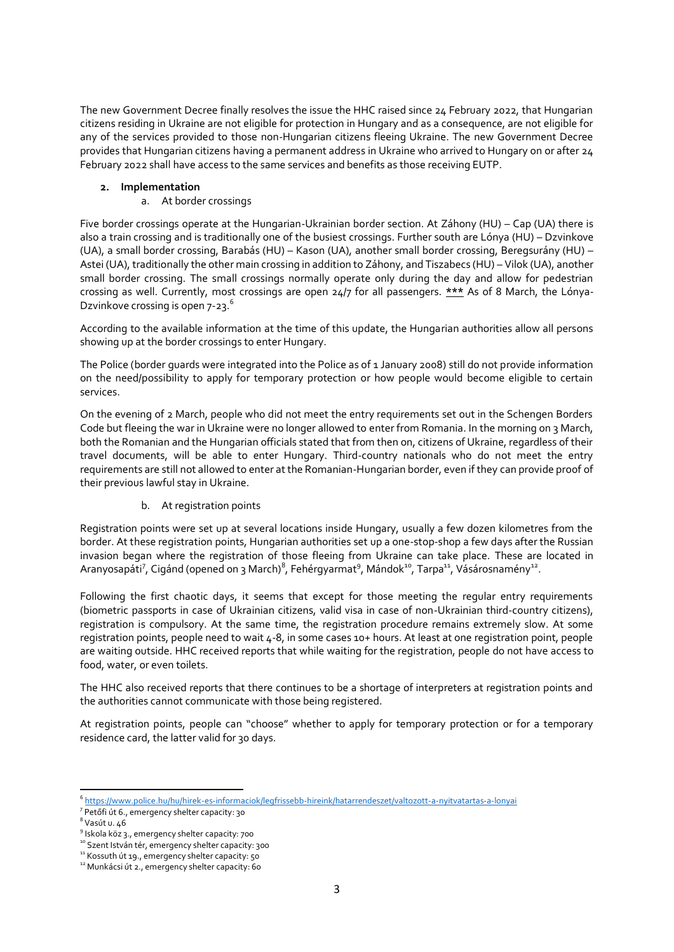The new Government Decree finally resolves the issue the HHC raised since 24 February 2022, that Hungarian citizens residing in Ukraine are not eligible for protection in Hungary and as a consequence, are not eligible for any of the services provided to those non-Hungarian citizens fleeing Ukraine. The new Government Decree provides that Hungarian citizens having a permanent address in Ukraine who arrived to Hungary on or after 24 February 2022 shall have access to the same services and benefits as those receiving EUTP.

### **2. Implementation**

a. At border crossings

Five border crossings operate at the Hungarian-Ukrainian border section. At Záhony (HU) – Cap (UA) there is also a train crossing and is traditionally one of the busiest crossings. Further south are Lónya (HU) – Dzvinkove (UA), a small border crossing, Barabás (HU) – Kason (UA), another small border crossing, Beregsurány (HU) – Astei (UA), traditionally the other main crossing in addition to Záhony, and Tiszabecs (HU) – Vilok (UA), another small border crossing. The small crossings normally operate only during the day and allow for pedestrian crossing as well. Currently, most crossings are open 24/7 for all passengers. **\*\*\*** As of 8 March, the Lónya-Dzvinkove crossing is open 7-23.<sup>6</sup>

According to the available information at the time of this update, the Hungarian authorities allow all persons showing up at the border crossings to enter Hungary.

The Police (border guards were integrated into the Police as of 1 January 2008) still do not provide information on the need/possibility to apply for temporary protection or how people would become eligible to certain services.

On the evening of 2 March, people who did not meet the entry requirements set out in the Schengen Borders Code but fleeing the war in Ukraine were no longer allowed to enter from Romania. In the morning on 3 March, both the Romanian and the Hungarian officials stated that from then on, citizens of Ukraine, regardless of their travel documents, will be able to enter Hungary. Third-country nationals who do not meet the entry requirements are still not allowed to enter at the Romanian-Hungarian border, even if they can provide proof of their previous lawful stay in Ukraine.

#### b. At registration points

Registration points were set up at several locations inside Hungary, usually a few dozen kilometres from the border. At these registration points, Hungarian authorities set up a one-stop-shop a few days after the Russian invasion began where the registration of those fleeing from Ukraine can take place. These are located in Aranyosapáti<sup>7</sup>, Cigánd (opened on 3 March)<sup>8</sup>, Fehérgyarmat<sup>9</sup>, Mándok<sup>10</sup>, Tarpa<sup>11</sup>, Vásárosnamény<sup>12</sup>.

Following the first chaotic days, it seems that except for those meeting the regular entry requirements (biometric passports in case of Ukrainian citizens, valid visa in case of non-Ukrainian third-country citizens), registration is compulsory. At the same time, the registration procedure remains extremely slow. At some registration points, people need to wait 4-8, in some cases 10+ hours. At least at one registration point, people are waiting outside. HHC received reports that while waiting for the registration, people do not have access to food, water, or even toilets.

The HHC also received reports that there continues to be a shortage of interpreters at registration points and the authorities cannot communicate with those being registered.

At registration points, people can "choose" whether to apply for temporary protection or for a temporary residence card, the latter valid for 30 days.

<sup>6</sup> <https://www.police.hu/hu/hirek-es-informaciok/legfrissebb-hireink/hatarrendeszet/valtozott-a-nyitvatartas-a-lonyai>

<sup>7</sup> Petőfi út 6., emergency shelter capacity: 30

 $^8$  Vasút u. 46

<sup>&</sup>lt;sup>9</sup> Iskola köz 3., emergency shelter capacity: 700

<sup>&</sup>lt;sup>10</sup> Szent István tér, emergency shelter capacity: 300

<sup>&</sup>lt;sup>11</sup> Kossuth út 19., emergency shelter capacity: 50

<sup>&</sup>lt;sup>12</sup> Munkácsi út 2., emergency shelter capacity: 60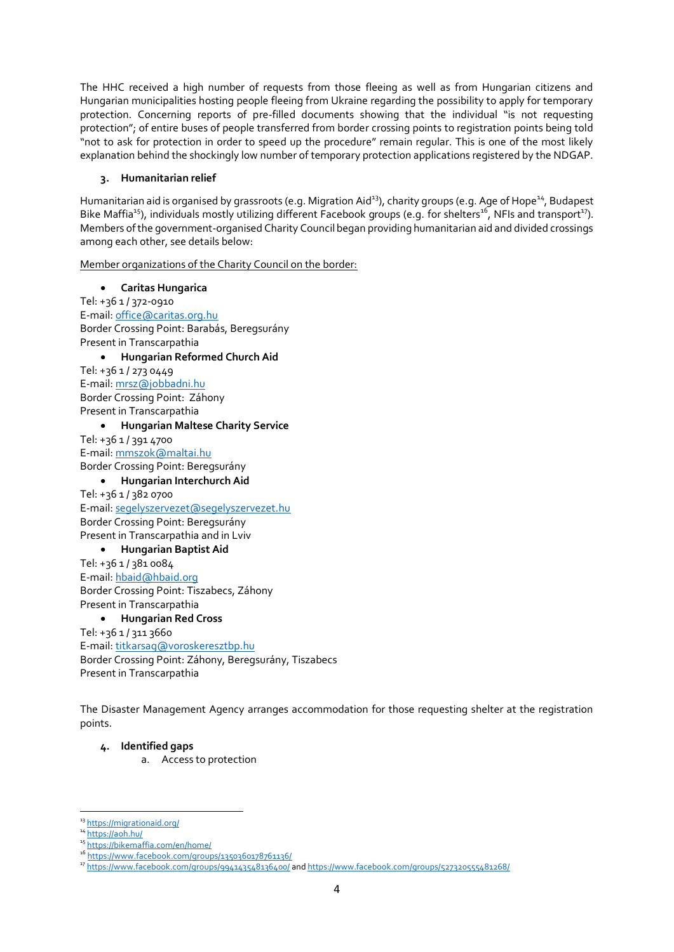The HHC received a high number of requests from those fleeing as well as from Hungarian citizens and Hungarian municipalities hosting people fleeing from Ukraine regarding the possibility to apply for temporary protection. Concerning reports of pre-filled documents showing that the individual "is not requesting protection"; of entire buses of people transferred from border crossing points to registration points being told "not to ask for protection in order to speed up the procedure" remain regular. This is one of the most likely explanation behind the shockingly low number of temporary protection applications registered by the NDGAP.

#### **3. Humanitarian relief**

Humanitarian aid is organised by grassroots (e.g. Migration Aid<sup>13</sup>), charity groups (e.g. Age of Hope<sup>14</sup>, Budapest Bike Maffia<sup>15</sup>), individuals mostly utilizing different Facebook groups (e.g. for shelters<sup>16</sup>, NFIs and transport<sup>17</sup>). Members of the government-organised Charity Council began providing humanitarian aid and divided crossings among each other, see details below:

Member organizations of the Charity Council on the border:

• **Caritas Hungarica**

Tel: +36 1 / 372-0910 E-mail: [office@caritas.org.hu](mailto:office@caritas.org.hu) Border Crossing Point: Barabás, Beregsurány Present in Transcarpathia • **Hungarian Reformed Church Aid** Tel: +36 1 / 273 0449 E-mail: [mrsz@jobbadni.hu](mailto:mrsz@jobbadni.hu) Border Crossing Point: Záhony Present in Transcarpathia • **Hungarian Maltese Charity Service**

Tel: +36 1 / 391 4700 E-mail: [mmszok@maltai.hu](mailto:mmszok@maltai.hu) Border Crossing Point: Beregsurány

• **Hungarian Interchurch Aid** Tel: +36 1 / 382 0700 E-mail: [segelyszervezet@segelyszervezet.hu](mailto:segelyszervezet@segelyszervezet.hu) Border Crossing Point: Beregsurány Present in Transcarpathia and in Lviv

• **Hungarian Baptist Aid**

Tel: +36 1 / 381 0084 E-mail: [hbaid@hbaid.org](mailto:hbaid@hbaid.org) Border Crossing Point: Tiszabecs, Záhony Present in Transcarpathia

### • **Hungarian Red Cross**

Tel: +36 1 / 311 3660 E-mail: [titkarsag@voroskeresztbp.hu](mailto:titkarsag@voroskeresztbp.hu) Border Crossing Point: Záhony, Beregsurány, Tiszabecs Present in Transcarpathia

The Disaster Management Agency arranges accommodation for those requesting shelter at the registration points.

#### **4. Identified gaps**

a. Access to protection

<sup>&</sup>lt;sup>13</sup> <https://migrationaid.org/>

<sup>&</sup>lt;sup>14</sup> <https://aoh.hu/>

<sup>15</sup> <https://bikemaffia.com/en/home/>

<sup>16</sup> [https://www.facebook.com/groups/1350360178761136/](https://www.facebook.com/groups/1350360178761136/?__cft__%5b0%5d=AZXVLNSFnnyxjConAYnfKbXoc5UNBzs-m9kUQwsgHnJz5L3_Yhj6p__rMZ-YIZk64oOUft285kBfDPkVP4M7xIpFh-hf6cosANKCzB5kHs54nLEi96RiEmcJ57VPoaxp-SGxSih-YEhTUa-eJ9ohKpnB&__tn__=-UK-R)

<sup>17</sup> [https://www.facebook.com/groups/994143548136400/](https://www.facebook.com/groups/994143548136400/?%20-hf6cosANKCzB5kHs54nLEi96RiEmcJ57VPoaxp-SGxSih-YEhTUa-eJ9ohKpnB&__tn__=-UK-R) an[d https://www.facebook.com/groups/527320555481268/](https://www.facebook.com/groups/527320555481268/)